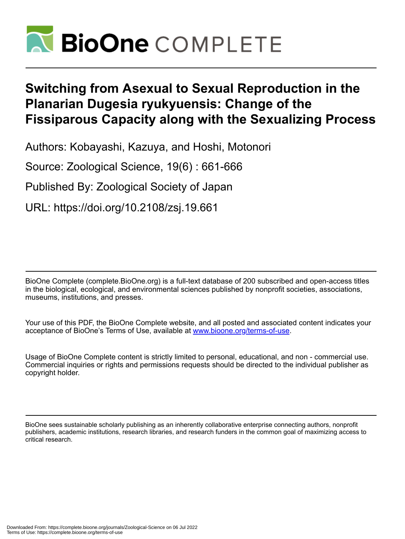

# **Switching from Asexual to Sexual Reproduction in the Planarian Dugesia ryukyuensis: Change of the Fissiparous Capacity along with the Sexualizing Process**

Authors: Kobayashi, Kazuya, and Hoshi, Motonori

Source: Zoological Science, 19(6) : 661-666

Published By: Zoological Society of Japan

URL: https://doi.org/10.2108/zsj.19.661

BioOne Complete (complete.BioOne.org) is a full-text database of 200 subscribed and open-access titles in the biological, ecological, and environmental sciences published by nonprofit societies, associations, museums, institutions, and presses.

Your use of this PDF, the BioOne Complete website, and all posted and associated content indicates your acceptance of BioOne's Terms of Use, available at www.bioone.org/terms-of-use.

Usage of BioOne Complete content is strictly limited to personal, educational, and non - commercial use. Commercial inquiries or rights and permissions requests should be directed to the individual publisher as copyright holder.

BioOne sees sustainable scholarly publishing as an inherently collaborative enterprise connecting authors, nonprofit publishers, academic institutions, research libraries, and research funders in the common goal of maximizing access to critical research.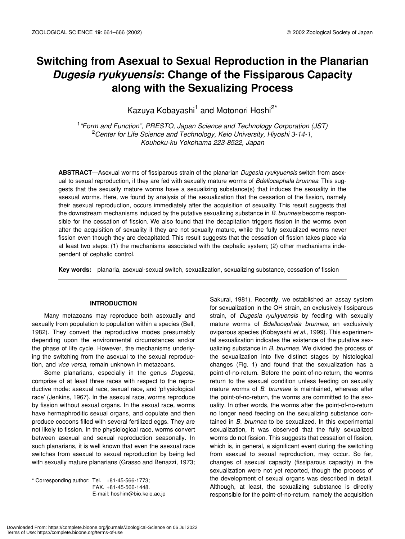## **Switching from Asexual to Sexual Reproduction in the Planarian**  *Dugesia ryukyuensis***: Change of the Fissiparous Capacity along with the Sexualizing Process**

Kazuya Kobayashi<sup>1</sup> and Motonori Hoshi<sup>2\*</sup>

1 *"Form and Function", PRESTO, Japan Science and Technology Corporation (JST)* 2 *Center for Life Science and Technology, Keio University, Hiyoshi 3-14-1, Kouhoku-ku Yokohama 223-8522, Japan*

**ABSTRACT**—Asexual worms of fissiparous strain of the planarian *Dugesia ryukyuensis* switch from asexual to sexual reproduction, if they are fed with sexually mature worms of *Bdellocephala brunnea*. This suggests that the sexually mature worms have a sexualizing substance(s) that induces the sexuality in the asexual worms. Here, we found by analysis of the sexualization that the cessation of the fission, namely their asexual reproduction, occurs immediately after the acquisition of sexuality. This result suggests that the downstream mechanisms induced by the putative sexualizing substance in *B. brunnea* become responsible for the cessation of fission. We also found that the decapitation triggers fission in the worms even after the acquisition of sexuality if they are not sexually mature, while the fully sexualized worms never fission even though they are decapitated. This result suggests that the cessation of fission takes place via at least two steps: (1) the mechanisms associated with the cephalic system; (2) other mechanisms independent of cephalic control.

**Key words:** planaria, asexual-sexual switch, sexualization, sexualizing substance, cessation of fission

#### **INTRODUCTION**

Many metazoans may reproduce both asexually and sexually from population to population within a species (Bell, 1982). They convert the reproductive modes presumably depending upon the environmental circumstances and/or the phase of life cycle. However, the mechanisms underlying the switching from the asexual to the sexual reproduction, and *vice versa*, remain unknown in metazoans.

Some planarians, especially in the genus *Dugesia*, comprise of at least three races with respect to the reproductive mode: asexual race, sexual race, and 'physiological race' (Jenkins, 1967). In the asexual race, worms reproduce by fission without sexual organs. In the sexual race, worms have hermaphroditic sexual organs, and copulate and then produce cocoons filled with several fertilized eggs. They are not likely to fission. In the physiological race, worms convert between asexual and sexual reproduction seasonally. In such planarians, it is well known that even the asexual race switches from asexual to sexual reproduction by being fed with sexually mature planarians (Grasso and Benazzi, 1973;

\* Corresponding author: Tel. +81-45-566-1773; FAX. +81-45-566-1448. E-mail: hoshim@bio.keio.ac.jp

Sakurai, 1981). Recently, we established an assay system for sexualization in the OH strain, an exclusively fissiparous strain, of *Dugesia ryukyuensis* by feeding with sexually mature worms of *Bdellocephala brunnea*, an exclusively oviparous species (Kobayashi *et al*., 1999). This experimental sexualization indicates the existence of the putative sexualizing substance in *B. brunnea*. We divided the process of the sexualization into five distinct stages by histological changes (Fig. 1) and found that the sexualization has a point-of-no-return. Before the point-of-no-return, the worms return to the asexual condition unless feeding on sexually mature worms of *B. brunnea* is maintained, whereas after the point-of-no-return, the worms are committed to the sexuality. In other words, the worms after the point-of-no-return no longer need feeding on the sexualizing substance contained in *B. brunnea* to be sexualized. In this experimental sexualization, it was observed that the fully sexualized worms do not fission. This suggests that cessation of fission, which is, in general, a significant event during the switching from asexual to sexual reproduction, may occur. So far, changes of asexual capacity (fissiparous capacity) in the sexualization were not yet reported, though the process of the development of sexual organs was described in detail. Although, at least, the sexualizing substance is directly responsible for the point-of-no-return, namely the acquisition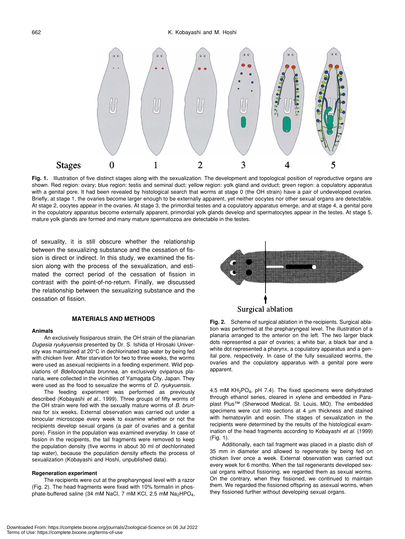

**Fig. 1.** Illustration of five distinct stages along with the sexualization. The development and topological position of reproductive organs are shown. Red region: ovary; blue region: testis and seminal duct; yellow region: yolk gland and oviduct; green region: a copulatory apparatus with a genital pore. It had been revealed by histological search that worms at stage 0 (the OH strain) have a pair of undeveloped ovaries. Briefly, at stage 1, the ovaries become larger enough to be externally apparent, yet neither oocytes nor other sexual organs are detectable. At stage 2, oocytes appear in the ovaries. At stage 3, the primordial testes and a copulatory apparatus emerge, and at stage 4, a genital pore in the copulatory apparatus become externally apparent, primordial yolk glands develop and spermatocytes appear in the testes. At stage 5, mature yolk glands are formed and many mature spermatozoa are detectable in the testes.

of sexuality, it is still obscure whether the relationship between the sexualizing substance and the cessation of fission is direct or indirect. In this study, we examined the fission along with the process of the sexualization, and estimated the correct period of the cessation of fission in contrast with the point-of-no-return. Finally, we discussed the relationship between the sexualizing substance and the cessation of fission.

#### **MATERIALS AND METHODS**

#### **Animals**

An exclusively fissiparous strain, the OH strain of the planarian *Dugesia ryukyuensis* presented by Dr. S. Ishida of Hirosaki University was maintained at 20°C in dechlorinated tap water by being fed with chicken liver. After starvation for two to three weeks, the worms were used as asexual recipients in a feeding experiment. Wild populations of *Bdellocephala brunnea*, an exclusively oviparous planaria, were collected in the vicinities of Yamagata City, Japan. They were used as the food to sexualize the worms of *D. ryukyuensis*.

The feeding experiment was performed as previously described (Kobayashi *et al*., 1999). Three groups of fifty worms of the OH strain were fed with the sexually mature worms of *B. brunnea* for six weeks. External observation was carried out under a binocular microscope every week to examine whether or not the recipients develop sexual organs (a pair of ovaries and a genital pore). Fission in the population was examined everyday. In case of fission in the recipients, the tail fragments were removed to keep the population density (five worms in about 30 ml of dechlorinated tap water), because the population density effects the process of sexualization (Kobayashi and Hoshi, unpublished data).

#### **Regeneration experiment**

The recipients were cut at the prepharyngeal level with a razor (Fig. 2). The head fragments were fixed with 10% formalin in phosphate-buffered saline (34 mM NaCl, 7 mM KCl, 2.5 mM  $Na<sub>2</sub>HPO<sub>4</sub>$ ,



**Fig. 2.** Scheme of surgical ablation in the recipients. Surgical ablation was performed at the prepharyngeal level. The illustration of a planaria arranged to the anterior on the left. The two larger black dots represented a pair of ovaries; a white bar, a black bar and a white dot represented a pharynx, a copulatory apparatus and a genital pore, respectively. In case of the fully sexualized worms, the ovaries and the copulatory apparatus with a genital pore were apparent.

4.5 mM KH2PO4, pH 7.4). The fixed specimens were dehydrated through ethanol series, cleared in xylene and embedded in Paraplast Plus™ (Sherwood Medical, St. Louis, MO). The embedded specimens were cut into sections at 4  $\mu$ m thickness and stained with hematoxylin and eosin. The stages of sexualization in the recipients were determined by the results of the histological examination of the head fragments according to Kobayashi *et al*. (1999) (Fig. 1).

Additionally, each tail fragment was placed in a plastic dish of 35 mm in diameter and allowed to regenerate by being fed on chicken liver once a week. External observation was carried out every week for 6 months. When the tail regenerants developed sexual organs without fissioning, we regarded them as sexual worms. On the contrary, when they fissioned, we continued to maintain them. We regarded the fissioned offspring as asexual worms, when they fissioned further without developing sexual organs.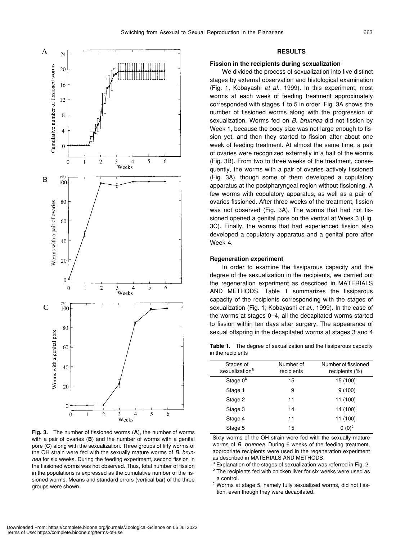

**Fig. 3.** The number of fissioned worms (**A**), the number of worms with a pair of ovaries (**B**) and the number of worms with a genital pore (**C**) along with the sexualization. Three groups of fifty worms of the OH strain were fed with the sexually mature worms of *B. brunnea* for six weeks. During the feeding experiment, second fission in the fissioned worms was not observed. Thus, total number of fission in the populations is expressed as the cumulative number of the fissioned worms. Means and standard errors (vertical bar) of the three groups were shown.

#### **RESULTS**

#### **Fission in the recipients during sexualization**

We divided the process of sexualization into five distinct stages by external observation and histological examination (Fig. 1, Kobayashi *et al*., 1999). In this experiment, most worms at each week of feeding treatment approximately corresponded with stages 1 to 5 in order. Fig. 3A shows the number of fissioned worms along with the progression of sexualization. Worms fed on *B. brunnea* did not fission by Week 1, because the body size was not large enough to fission yet, and then they started to fission after about one week of feeding treatment. At almost the same time, a pair of ovaries were recognized externally in a half of the worms (Fig. 3B). From two to three weeks of the treatment, consequently, the worms with a pair of ovaries actively fissioned (Fig. 3A), though some of them developed a copulatory apparatus at the postpharyngeal region without fissioning. A few worms with copulatory apparatus, as well as a pair of ovaries fissioned. After three weeks of the treatment, fission was not observed (Fig. 3A). The worms that had not fissioned opened a genital pore on the ventral at Week 3 (Fig. 3C). Finally, the worms that had experienced fission also developed a copulatory apparatus and a genital pore after Week 4.

#### **Regeneration experiment**

In order to examine the fissiparous capacity and the degree of the sexualization in the recipients, we carried out the regeneration experiment as described in MATERIALS AND METHODS. Table 1 summarizes the fissiparous capacity of the recipients corresponding with the stages of sexualization (Fig. 1; Kobayashi *et al*., 1999). In the case of the worms at stages 0–4, all the decapitated worms started to fission within ten days after surgery. The appearance of sexual offspring in the decapitated worms at stages 3 and 4

**Table 1.** The degree of sexualization and the fissiparous capacity in the recipients

| Stages of<br>sexualization <sup>a</sup> | Number of<br>recipients | Number of fissioned<br>recipients (%) |
|-----------------------------------------|-------------------------|---------------------------------------|
| Stage 0 <sup>b</sup>                    | 15                      | 15 (100)                              |
| Stage 1                                 | 9                       | 9(100)                                |
| Stage 2                                 | 11                      | 11 (100)                              |
| Stage 3                                 | 14                      | 14 (100)                              |
| Stage 4                                 | 11                      | 11 (100)                              |
| Stage 5                                 | 15                      | $0(0)^c$                              |

Sixty worms of the OH strain were fed with the sexually mature worms of *B. brunnea*. During 6 weeks of the feeding treatment, appropriate recipients were used in the regeneration experiment as described in MATERIALS AND METHODS.

<sup>a</sup> Explanation of the stages of sexualization was referred in Fig. 2.

<sup>b</sup> The recipients fed with chicken liver for six weeks were used as a control.

<sup>c</sup> Worms at stage 5, namely fully sexualized worms, did not fisstion, even though they were decapitated.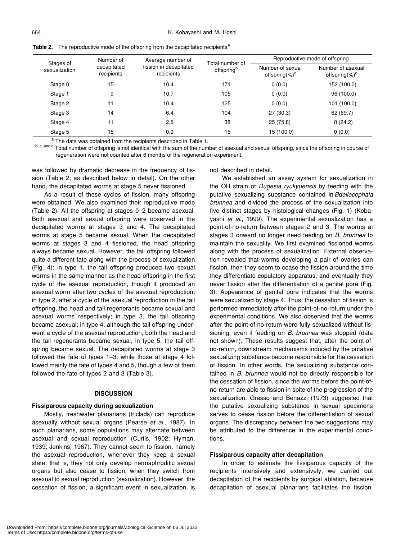| Stages of<br>sexualization | Number of<br>decapitated<br>recipients | Average number of<br>fission in decapitated<br>recipients | Total number of<br>offspring <sup>b</sup> | Reproductive mode of offspring         |                                         |  |
|----------------------------|----------------------------------------|-----------------------------------------------------------|-------------------------------------------|----------------------------------------|-----------------------------------------|--|
|                            |                                        |                                                           |                                           | Number of sexual<br>offspring $(\%)^c$ | Number of asexual<br>offspring $(\%)^d$ |  |
| Stage 0                    | 15                                     | 10.4                                                      | 171                                       | 0(0.0)                                 | 152 (100.0)                             |  |
| Stage 1                    | 9                                      | 10.7                                                      | 105                                       | 0(0.0)                                 | 96 (100.0)                              |  |
| Stage 2                    | 11                                     | 10.4                                                      | 125                                       | 0(0.0)                                 | 101 (100.0)                             |  |
| Stage 3                    | 14                                     | 6.4                                                       | 104                                       | 27(30.3)                               | 62 (69.7)                               |  |
| Stage 4                    | 11                                     | 2.5                                                       | 38                                        | 25 (75.8)                              | 8(24.2)                                 |  |
| Stage 5                    | 15                                     | 0.0                                                       | 15                                        | 15 (100.0)                             | 0(0.0)                                  |  |

**Table 2.** The reproductive mode of the offspring from the decapitated recipients<sup>a</sup>

<sup>a</sup> The data was obtained from the recipients described in Table 1.

b, c, and d Total number of offspring is not identical with the sum of the number of asexual and sexual offspring, since the offspring in course of regeneration were not counted after 6 months of the regeneration experiment.

was followed by dramatic decrease in the frequency of fission (Table 2; as described below in detail). On the other hand, the decapitated worms at stage 5 never fissioned.

As a result of these cycles of fission, many offspring were obtained. We also examined their reproductive mode (Table 2). All the offspring at stages 0–2 became asexual. Both asexual and sexual offspring were observed in the decapitated worms at stages 3 and 4. The decapitated worms at stage 5 became sexual. When the decapitated worms at stages 3 and 4 fissioned, the head offspring always became sexual. However, the tail offspring followed quite a different fate along with the process of sexualization (Fig. 4): in type 1, the tail offspring produced two sexual worms in the same manner as the head offspring in the first cycle of the asexual reproduction, though it produced an asexual worm after two cycles of the asexual reproduction; in type 2, after a cycle of the asexual reproduction in the tail offspring, the head and tail regenerants became sexual and asexual worms respectively; in type 3, the tail offspring became asexual; in type 4, although the tail offspring underwent a cycle of the asexual reproduction, both the head and the tail regenerants became sexual; in type 5, the tail offspring became sexual. The decapitated worms at stage 3 followed the fate of types 1–3, while those at stage 4 followed mainly the fate of types 4 and 5, though a few of them followed the fate of types 2 and 3 (Table 3).

### **DISCUSSION**

#### **Fissiparous capacity during sexualization**

Mostly, freshwater planarians (triclads) can reproduce asexually without sexual organs (Pearse *et al*., 1987). In such planarians, some populations may alternate between asexual and sexual reproduction (Curtis, 1902; Hyman, 1939; Jenkins, 1967). They cannot seem to fission, namely the asexual reproduction, whenever they keep a sexual state; that is, they not only develop hermaphroditic sexual organs but also cease to fission, when they switch from asexual to sexual reproduction (sexualization). However, the cessation of fission, a significant event in sexualization, is not described in detail.

We established an assay system for sexualization in the OH strain of *Dugesia ryukyuensis* by feeding with the putative sexualizing substance contained in *Bdellocephala brunnea* and divided the process of the sexualization into five distinct stages by histological changes (Fig. 1) (Kobayashi *et al*., 1999). The experimental sexualization has a point-of-no-return between stages 2 and 3. The worms at stages 3 onward no longer need feeding on *B. brunnea* to maintain the sexuality. We first examined fissioned worms along with the process of sexualization. External observation revealed that worms developing a pair of ovaries can fission, then they seem to cease the fission around the time they differentiate copulatory apparatus, and eventually they never fission after the differentiation of a genital pore (Fig. 3). Appearance of genital pore indicates that the worms were sexualized by stage 4. Thus, the cessation of fission is performed immediately after the point-of-no-return under the experimental conditions. We also observed that the worms after the point-of-no-return were fully sexualized without fissioning, even if feeding on *B. brunnea* was stopped (data not shown). These results suggest that, after the point-ofno-return, downstream mechanisms induced by the putative sexualizing substance become responsible for the cessation of fission. In other words, the sexualizing substance contained in *B. brunnea* would not be directly responsible for the cessation of fission, since the worms before the point-ofno-return are able to fission in spite of the progression of the sexualization. Grasso and Benazzi (1973) suggested that the putative sexualizing substance in sexual specimens serves to cease fission before the differentiation of sexual organs. The discrepancy between the two suggestions may be attributed to the difference in the experimental conditions.

#### **Fissiparous capacity after decapitation**

In order to estimate the fissiparous capacity of the recipients intensively and extensively, we carried out decapitation of the recipients by surgical ablation, because decapitation of asexual planarians facilitates the fission,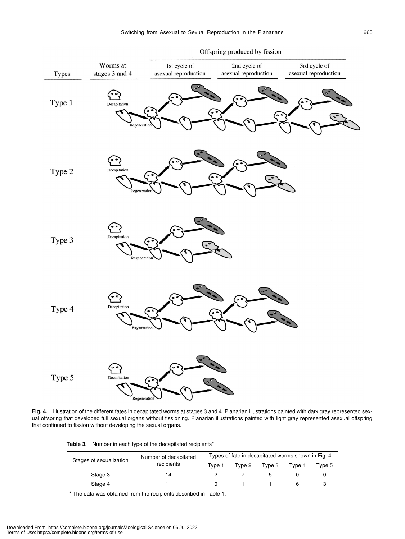

**Fig. 4.** Illustration of the different fates in decapitated worms at stages 3 and 4. Planarian illustrations painted with dark gray represented sexual offspring that developed full sexual organs without fissioning. Planarian illustrations painted with light gray represented asexual offspring that continued to fission without developing the sexual organs.

**Table 3.** Number in each type of the decapitated recipients\*

| Stages of sexualization | Number of decapitated<br>recipients | Types of fate in decapitated worms shown in Fig. 4 |        |        |        |        |  |
|-------------------------|-------------------------------------|----------------------------------------------------|--------|--------|--------|--------|--|
|                         |                                     | Tvpe 1                                             | Type 2 | Type 3 | Tvpe 4 | Tvpe 5 |  |
| Stage 3                 | 14                                  |                                                    |        |        |        |        |  |
| Stage 4                 |                                     |                                                    |        |        |        |        |  |

\* The data was obtained from the recipients described in Table 1.